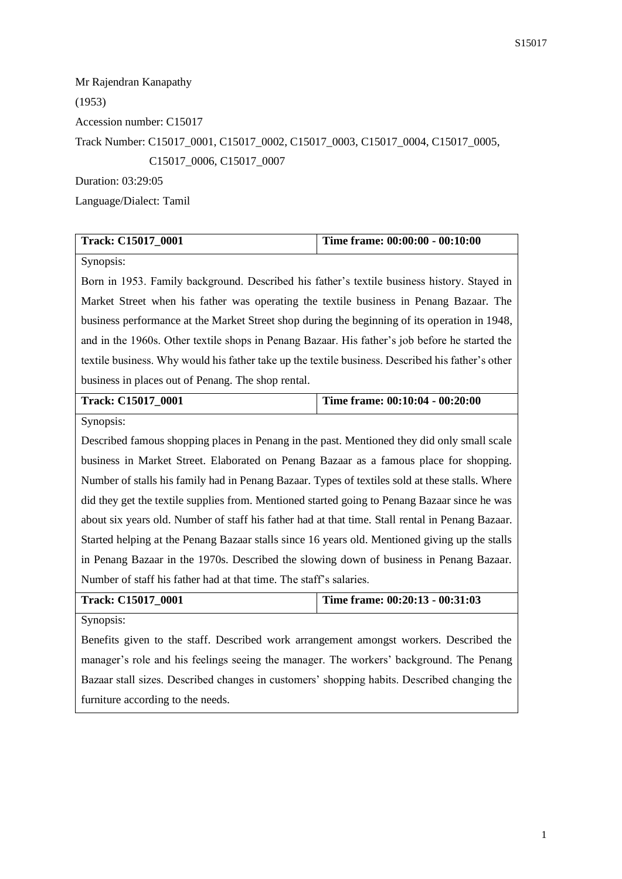Mr Rajendran Kanapathy (1953) Accession number: C15017 Track Number: C15017\_0001, C15017\_0002, C15017\_0003, C15017\_0004, C15017\_0005, C15017\_0006, C15017\_0007 Duration: 03:29:05

Language/Dialect: Tamil

| <b>Track: C15017 0001</b> | Time frame: 00:00:00 - 00:10:00 |
|---------------------------|---------------------------------|
|                           |                                 |

Synopsis:

Born in 1953. Family background. Described his father's textile business history. Stayed in Market Street when his father was operating the textile business in Penang Bazaar. The business performance at the Market Street shop during the beginning of its operation in 1948, and in the 1960s. Other textile shops in Penang Bazaar. His father's job before he started the textile business. Why would his father take up the textile business. Described his father's other business in places out of Penang. The shop rental.

| <b>Track: C15017 0001</b> | Time frame: 00:10:04 - 00:20:00 |
|---------------------------|---------------------------------|
|                           |                                 |

Synopsis:

Described famous shopping places in Penang in the past. Mentioned they did only small scale business in Market Street. Elaborated on Penang Bazaar as a famous place for shopping. Number of stalls his family had in Penang Bazaar. Types of textiles sold at these stalls. Where did they get the textile supplies from. Mentioned started going to Penang Bazaar since he was about six years old. Number of staff his father had at that time. Stall rental in Penang Bazaar. Started helping at the Penang Bazaar stalls since 16 years old. Mentioned giving up the stalls in Penang Bazaar in the 1970s. Described the slowing down of business in Penang Bazaar. Number of staff his father had at that time. The staff's salaries.

| <b>Track: C15017 0001</b> | Time frame: $00:20:13 - 00:31:03$ |
|---------------------------|-----------------------------------|
| Synopsis:                 |                                   |

Benefits given to the staff. Described work arrangement amongst workers. Described the manager's role and his feelings seeing the manager. The workers' background. The Penang Bazaar stall sizes. Described changes in customers' shopping habits. Described changing the furniture according to the needs.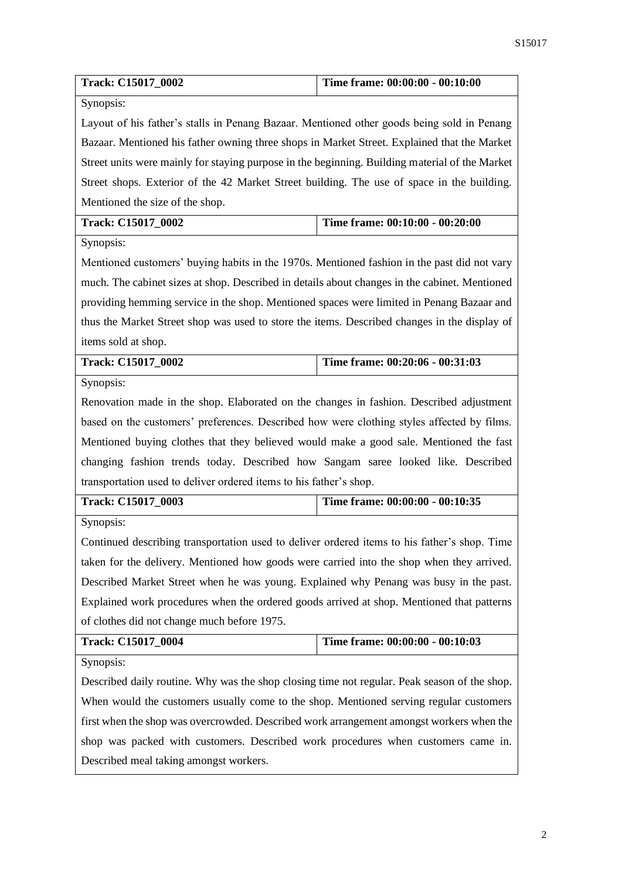| Track: C15017_0002                                                                            | Time frame: 00:00:00 - 00:10:00                                                                |  |
|-----------------------------------------------------------------------------------------------|------------------------------------------------------------------------------------------------|--|
| Synopsis:                                                                                     |                                                                                                |  |
| Layout of his father's stalls in Penang Bazaar. Mentioned other goods being sold in Penang    |                                                                                                |  |
| Bazaar. Mentioned his father owning three shops in Market Street. Explained that the Market   |                                                                                                |  |
|                                                                                               | Street units were mainly for staying purpose in the beginning. Building material of the Market |  |
| Street shops. Exterior of the 42 Market Street building. The use of space in the building.    |                                                                                                |  |
| Mentioned the size of the shop.                                                               |                                                                                                |  |
| Track: C15017_0002                                                                            | Time frame: 00:10:00 - 00:20:00                                                                |  |
| Synopsis:                                                                                     |                                                                                                |  |
| Mentioned customers' buying habits in the 1970s. Mentioned fashion in the past did not vary   |                                                                                                |  |
| much. The cabinet sizes at shop. Described in details about changes in the cabinet. Mentioned |                                                                                                |  |
| providing hemming service in the shop. Mentioned spaces were limited in Penang Bazaar and     |                                                                                                |  |
| thus the Market Street shop was used to store the items. Described changes in the display of  |                                                                                                |  |
| items sold at shop.                                                                           |                                                                                                |  |
| Track: C15017_0002                                                                            | Time frame: 00:20:06 - 00:31:03                                                                |  |
| Synopsis:                                                                                     |                                                                                                |  |
| Renovation made in the shop. Elaborated on the changes in fashion. Described adjustment       |                                                                                                |  |
| based on the customers' preferences. Described how were clothing styles affected by films.    |                                                                                                |  |
| Mentioned buying clothes that they believed would make a good sale. Mentioned the fast        |                                                                                                |  |
| changing fashion trends today. Described how Sangam saree looked like. Described              |                                                                                                |  |
| transportation used to deliver ordered items to his father's shop.                            |                                                                                                |  |
| Track: C15017_0003                                                                            | Time frame: 00:00:00 - 00:10:35                                                                |  |
| Synopsis:                                                                                     |                                                                                                |  |
| Continued describing transportation used to deliver ordered items to his father's shop. Time  |                                                                                                |  |
| taken for the delivery. Mentioned how goods were carried into the shop when they arrived.     |                                                                                                |  |
| Described Market Street when he was young. Explained why Penang was busy in the past.         |                                                                                                |  |
| Explained work procedures when the ordered goods arrived at shop. Mentioned that patterns     |                                                                                                |  |
| of clothes did not change much before 1975.                                                   |                                                                                                |  |
| Track: C15017_0004                                                                            | Time frame: 00:00:00 - 00:10:03                                                                |  |
| Synopsis:                                                                                     |                                                                                                |  |
| Described daily routine. Why was the shop closing time not regular. Peak season of the shop.  |                                                                                                |  |
| When would the customers usually come to the shop. Mentioned serving regular customers        |                                                                                                |  |
| first when the shop was overcrowded. Described work arrangement amongst workers when the      |                                                                                                |  |
| shop was packed with customers. Described work procedures when customers came in.             |                                                                                                |  |
| Described meal taking amongst workers.                                                        |                                                                                                |  |
|                                                                                               |                                                                                                |  |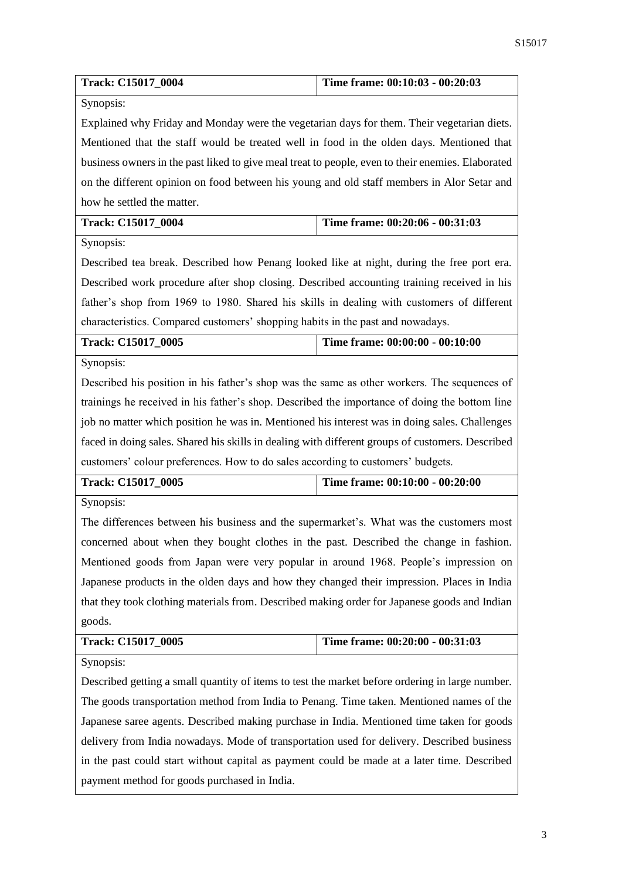| Track: C15017_0004                                                                                | Time frame: 00:10:03 - 00:20:03 |  |
|---------------------------------------------------------------------------------------------------|---------------------------------|--|
| Synopsis:                                                                                         |                                 |  |
| Explained why Friday and Monday were the vegetarian days for them. Their vegetarian diets.        |                                 |  |
| Mentioned that the staff would be treated well in food in the olden days. Mentioned that          |                                 |  |
| business owners in the past liked to give meal treat to people, even to their enemies. Elaborated |                                 |  |
| on the different opinion on food between his young and old staff members in Alor Setar and        |                                 |  |
| how he settled the matter.                                                                        |                                 |  |
| Track: C15017_0004                                                                                | Time frame: 00:20:06 - 00:31:03 |  |
| Synopsis:                                                                                         |                                 |  |
| Described tea break. Described how Penang looked like at night, during the free port era.         |                                 |  |
| Described work procedure after shop closing. Described accounting training received in his        |                                 |  |
| father's shop from 1969 to 1980. Shared his skills in dealing with customers of different         |                                 |  |
| characteristics. Compared customers' shopping habits in the past and nowadays.                    |                                 |  |
| Track: C15017_0005                                                                                | Time frame: 00:00:00 - 00:10:00 |  |
| Synopsis:                                                                                         |                                 |  |
| Described his position in his father's shop was the same as other workers. The sequences of       |                                 |  |
| trainings he received in his father's shop. Described the importance of doing the bottom line     |                                 |  |
| job no matter which position he was in. Mentioned his interest was in doing sales. Challenges     |                                 |  |
| faced in doing sales. Shared his skills in dealing with different groups of customers. Described  |                                 |  |
| customers' colour preferences. How to do sales according to customers' budgets.                   |                                 |  |
| Time frame: 00:10:00 - 00:20:00<br>Track: C15017 0005                                             |                                 |  |
| Synopsis:                                                                                         |                                 |  |
| The differences between his business and the supermarket's. What was the customers most           |                                 |  |
| concerned about when they bought clothes in the past. Described the change in fashion.            |                                 |  |
| Mentioned goods from Japan were very popular in around 1968. People's impression on               |                                 |  |
| Japanese products in the olden days and how they changed their impression. Places in India        |                                 |  |
| that they took clothing materials from. Described making order for Japanese goods and Indian      |                                 |  |
| goods.                                                                                            |                                 |  |
| Track: C15017_0005                                                                                | Time frame: 00:20:00 - 00:31:03 |  |
| Synopsis:                                                                                         |                                 |  |
| Described getting a small quantity of items to test the market before ordering in large number.   |                                 |  |
| The goods transportation method from India to Penang. Time taken. Mentioned names of the          |                                 |  |
| Japanese saree agents. Described making purchase in India. Mentioned time taken for goods         |                                 |  |
| delivery from India nowadays. Mode of transportation used for delivery. Described business        |                                 |  |
| in the past could start without capital as payment could be made at a later time. Described       |                                 |  |
| payment method for goods purchased in India.                                                      |                                 |  |
|                                                                                                   |                                 |  |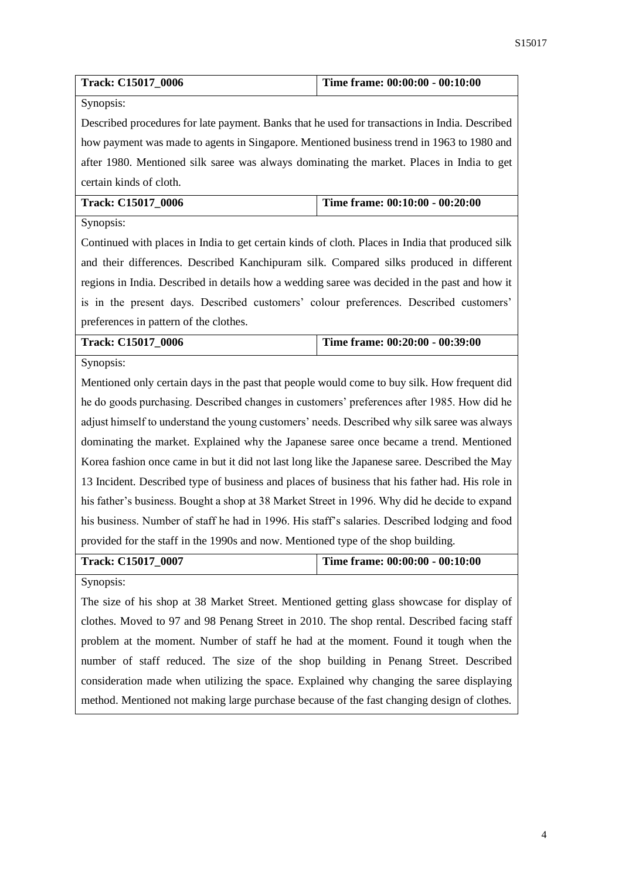| <b>Track: C15017 0006</b> | Time frame: $00:00:00 - 00:10:00$ |
|---------------------------|-----------------------------------|

Synopsis:

Described procedures for late payment. Banks that he used for transactions in India. Described how payment was made to agents in Singapore. Mentioned business trend in 1963 to 1980 and after 1980. Mentioned silk saree was always dominating the market. Places in India to get certain kinds of cloth.

| <b>Track: C15017 0006</b> | Time frame: 00:10:00 - 00:20:00 |
|---------------------------|---------------------------------|
|                           |                                 |

Synopsis:

Continued with places in India to get certain kinds of cloth. Places in India that produced silk and their differences. Described Kanchipuram silk. Compared silks produced in different regions in India. Described in details how a wedding saree was decided in the past and how it is in the present days. Described customers' colour preferences. Described customers' preferences in pattern of the clothes.

| <b>Track: C15017 0006</b> | Time frame: $00:20:00 - 00:39:00$ |
|---------------------------|-----------------------------------|
|                           |                                   |

Synopsis:

Mentioned only certain days in the past that people would come to buy silk. How frequent did he do goods purchasing. Described changes in customers' preferences after 1985. How did he adjust himself to understand the young customers' needs. Described why silk saree was always dominating the market. Explained why the Japanese saree once became a trend. Mentioned Korea fashion once came in but it did not last long like the Japanese saree. Described the May 13 Incident. Described type of business and places of business that his father had. His role in his father's business. Bought a shop at 38 Market Street in 1996. Why did he decide to expand his business. Number of staff he had in 1996. His staff's salaries. Described lodging and food provided for the staff in the 1990s and now. Mentioned type of the shop building.

**Track: C15017\_0007 Time frame: 00:00:00 - 00:10:00**

Synopsis:

The size of his shop at 38 Market Street. Mentioned getting glass showcase for display of clothes. Moved to 97 and 98 Penang Street in 2010. The shop rental. Described facing staff problem at the moment. Number of staff he had at the moment. Found it tough when the number of staff reduced. The size of the shop building in Penang Street. Described consideration made when utilizing the space. Explained why changing the saree displaying method. Mentioned not making large purchase because of the fast changing design of clothes.